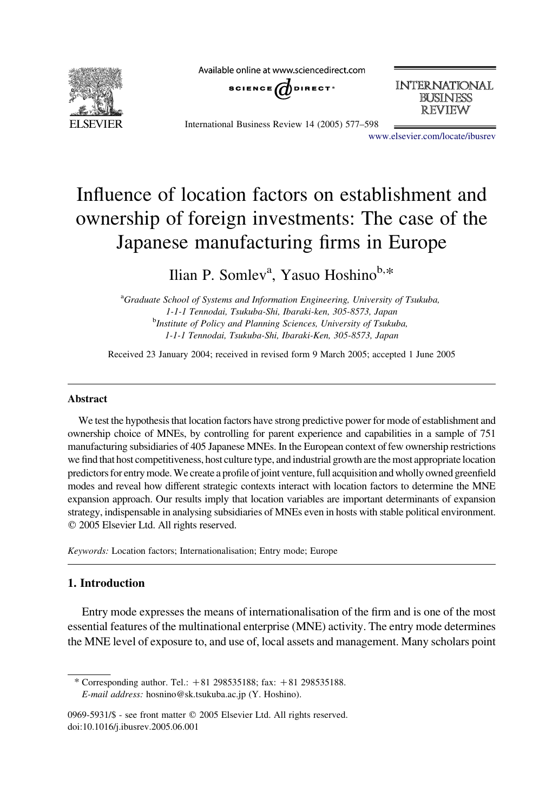

Available online at www.sciencedirect.com



**INTERNATIONAL BUSINESS REVIEW** 

International Business Review 14 (2005) 577–598

[www.elsevier.com/locate/ibusrev](http://www.elsevier.com/locate/ibusrev)

# Influence of location factors on establishment and ownership of foreign investments: The case of the Japanese manufacturing firms in Europe

Ilian P. Somlev<sup>a</sup>, Yasuo Hoshino<sup>b,\*</sup>

<sup>a</sup>Graduate School of Systems and Information Engineering, University of Tsukuba, 1-1-1 Tennodai, Tsukuba-Shi, Ibaraki-ken, 305-8573, Japan <sup>b</sup>Institute of Policy and Planning Sciences, University of Tsukuba, 1-1-1 Tennodai, Tsukuba-Shi, Ibaraki-Ken, 305-8573, Japan

Received 23 January 2004; received in revised form 9 March 2005; accepted 1 June 2005

#### Abstract

We test the hypothesis that location factors have strong predictive power for mode of establishment and ownership choice of MNEs, by controlling for parent experience and capabilities in a sample of 751 manufacturing subsidiaries of 405 Japanese MNEs. In the European context of few ownership restrictions we find that host competitiveness, host culture type, and industrial growth are the most appropriate location predictors for entry mode. We create a profile of joint venture, full acquisition and wholly owned greenfield modes and reveal how different strategic contexts interact with location factors to determine the MNE expansion approach. Our results imply that location variables are important determinants of expansion strategy, indispensable in analysing subsidiaries of MNEs even in hosts with stable political environment.  $©$  2005 Elsevier Ltd. All rights reserved.

Keywords: Location factors; Internationalisation; Entry mode; Europe

## 1. Introduction

Entry mode expresses the means of internationalisation of the firm and is one of the most essential features of the multinational enterprise (MNE) activity. The entry mode determines the MNE level of exposure to, and use of, local assets and management. Many scholars point

\* Corresponding author. Tel.:  $+81$  298535188; fax:  $+81$  298535188. E-mail address: hosnino@sk.tsukuba.ac.jp (Y. Hoshino).

<sup>0969-5931/\$ -</sup> see front matter © 2005 Elsevier Ltd. All rights reserved. doi:10.1016/j.ibusrev.2005.06.001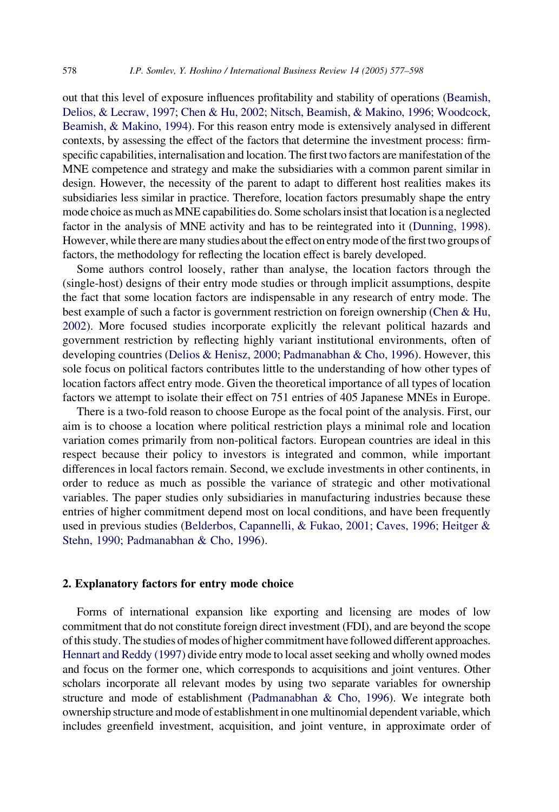out that this level of exposure influences profitability and stability of operations [\(Beamish,](#page--1-0) [Delios, & Lecraw, 1997; Chen & Hu, 2002; Nitsch, Beamish, & Makino, 1996; Woodcock,](#page--1-0) [Beamish, & Makino, 1994](#page--1-0)). For this reason entry mode is extensively analysed in different contexts, by assessing the effect of the factors that determine the investment process: firmspecific capabilities, internalisation and location. The first two factors are manifestation of the MNE competence and strategy and make the subsidiaries with a common parent similar in design. However, the necessity of the parent to adapt to different host realities makes its subsidiaries less similar in practice. Therefore, location factors presumably shape the entry mode choice as much as MNE capabilities do. Some scholars insist that location is a neglected factor in the analysis of MNE activity and has to be reintegrated into it ([Dunning, 1998](#page--1-0)). However, while there are many studies about the effect on entry mode of the first two groups of factors, the methodology for reflecting the location effect is barely developed.

Some authors control loosely, rather than analyse, the location factors through the (single-host) designs of their entry mode studies or through implicit assumptions, despite the fact that some location factors are indispensable in any research of entry mode. The best example of such a factor is government restriction on foreign ownership ([Chen & Hu,](#page--1-0) [2002](#page--1-0)). More focused studies incorporate explicitly the relevant political hazards and government restriction by reflecting highly variant institutional environments, often of developing countries [\(Delios & Henisz, 2000; Padmanabhan & Cho, 1996](#page--1-0)). However, this sole focus on political factors contributes little to the understanding of how other types of location factors affect entry mode. Given the theoretical importance of all types of location factors we attempt to isolate their effect on 751 entries of 405 Japanese MNEs in Europe.

There is a two-fold reason to choose Europe as the focal point of the analysis. First, our aim is to choose a location where political restriction plays a minimal role and location variation comes primarily from non-political factors. European countries are ideal in this respect because their policy to investors is integrated and common, while important differences in local factors remain. Second, we exclude investments in other continents, in order to reduce as much as possible the variance of strategic and other motivational variables. The paper studies only subsidiaries in manufacturing industries because these entries of higher commitment depend most on local conditions, and have been frequently used in previous studies ([Belderbos, Capannelli, & Fukao, 2001; Caves, 1996; Heitger &](#page--1-0) [Stehn, 1990; Padmanabhan & Cho, 1996](#page--1-0)).

### 2. Explanatory factors for entry mode choice

Forms of international expansion like exporting and licensing are modes of low commitment that do not constitute foreign direct investment (FDI), and are beyond the scope of this study. The studies of modes of higher commitment have followed different approaches. [Hennart and Reddy \(1997\)](#page--1-0) divide entry mode to local asset seeking and wholly owned modes and focus on the former one, which corresponds to acquisitions and joint ventures. Other scholars incorporate all relevant modes by using two separate variables for ownership structure and mode of establishment [\(Padmanabhan & Cho, 1996\)](#page--1-0). We integrate both ownership structure and mode of establishment in one multinomial dependent variable, which includes greenfield investment, acquisition, and joint venture, in approximate order of